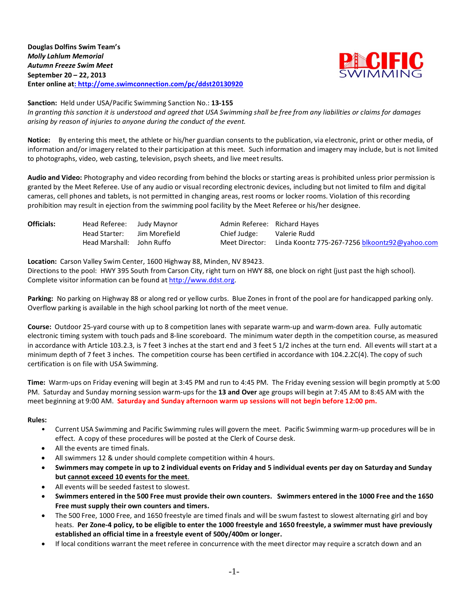**Douglas Dolfins Swim Team's** *Molly Lahlum Memorial Autumn Freeze Swim Meet* **September 20 – 22, 2013 Enter online at: http://ome.swimconnection.com/pc/ddst20130920**



**Sanction:** Held under USA/Pacific Swimming Sanction No.: **13-155**

*In granting this sanction it is understood and agreed that USA Swimming shall be free from any liabilities or claims for damages arising by reason of injuries to anyone during the conduct of the event.*

**Notice:** By entering this meet, the athlete or his/her guardian consents to the publication, via electronic, print or other media, of information and/or imagery related to their participation at this meet. Such information and imagery may include, but is not limited to photographs, video, web casting, television, psych sheets, and live meet results.

**Audio and Video:** Photography and video recording from behind the blocks or starting areas is prohibited unless prior permission is granted by the Meet Referee. Use of any audio or visual recording electronic devices, including but not limited to film and digital cameras, cell phones and tablets, is not permitted in changing areas, rest rooms or locker rooms. Violation of this recording prohibition may result in ejection from the swimming pool facility by the Meet Referee or his/her designee.

| <b>Officials:</b> | Head Referee: Judy Maynor |               | Admin Referee: Richard Hayes |                                                |
|-------------------|---------------------------|---------------|------------------------------|------------------------------------------------|
|                   | Head Starter:             | Jim Morefield | Chief Judge:                 | Valerie Rudd                                   |
|                   | Head Marshall: John Ruffo |               | Meet Director:               | Linda Koontz 775-267-7256 blkoontz92@yahoo.com |

**Location:** Carson Valley Swim Center, 1600 Highway 88, Minden, NV 89423.

Directions to the pool: HWY 395 South from Carson City, right turn on HWY 88, one block on right (just past the high school). Complete visitor information can be found a[t http://www.ddst.org.](http://www.ddst.org/)

**Parking:** No parking on Highway 88 or along red or yellow curbs. Blue Zones in front of the pool are for handicapped parking only. Overflow parking is available in the high school parking lot north of the meet venue.

**Course:** Outdoor 25-yard course with up to 8 competition lanes with separate warm-up and warm-down area. Fully automatic electronic timing system with touch pads and 8-line scoreboard. The minimum water depth in the competition course, as measured in accordance with Article 103.2.3, is 7 feet 3 inches at the start end and 3 feet 5 1/2 inches at the turn end. All events will start at a minimum depth of 7 feet 3 inches. The competition course has been certified in accordance with 104.2.2C(4). The copy of such certification is on file with USA Swimming.

**Time:** Warm-ups on Friday evening will begin at 3:45 PM and run to 4:45 PM. The Friday evening session will begin promptly at 5:00 PM. Saturday and Sunday morning session warm-ups for the **13 and Over** age groups will begin at 7:45 AM to 8:45 AM with the meet beginning at 9:00 AM. **Saturday and Sunday afternoon warm up sessions will not begin before 12:00 pm.**

## **Rules:**

- Current USA Swimming and Pacific Swimming rules will govern the meet. Pacific Swimming warm-up procedures will be in effect. A copy of these procedures will be posted at the Clerk of Course desk.
- All the events are timed finals.
- All swimmers 12 & under should complete competition within 4 hours.
- **Swimmers may compete in up to 2 individual events on Friday and 5 individual events per day on Saturday and Sunday but cannot exceed 10 events for the meet**.
- All events will be seeded fastest to slowest.
- **Swimmers entered in the 500 Free must provide their own counters. Swimmers entered in the 1000 Free and the 1650 Free must supply their own counters and timers.**
- The 500 Free, 1000 Free, and 1650 freestyle are timed finals and will be swum fastest to slowest alternating girl and boy heats. **Per Zone-4 policy, to be eligible to enter the 1000 freestyle and 1650 freestyle, a swimmer must have previously established an official time in a freestyle event of 500y/400m or longer.**
- If local conditions warrant the meet referee in concurrence with the meet director may require a scratch down and an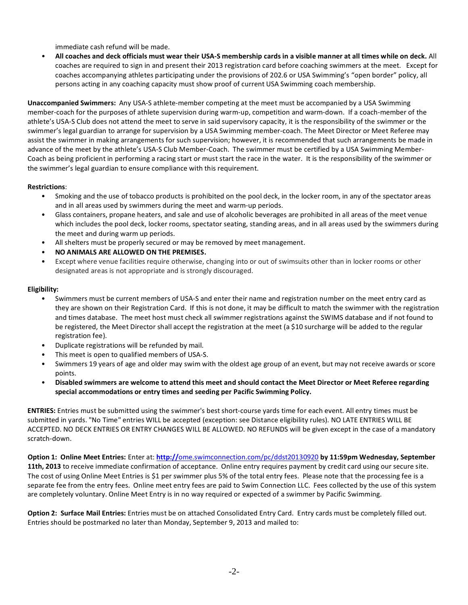immediate cash refund will be made.

• **All coaches and deck officials must wear their USA-S membership cards in a visible manner at all times while on deck.** All coaches are required to sign in and present their 2013 registration card before coaching swimmers at the meet. Except for coaches accompanying athletes participating under the provisions of 202.6 or USA Swimming's "open border" policy, all persons acting in any coaching capacity must show proof of current USA Swimming coach membership.

**Unaccompanied Swimmers:** Any USA-S athlete-member competing at the meet must be accompanied by a USA Swimming member-coach for the purposes of athlete supervision during warm-up, competition and warm-down. If a coach-member of the athlete's USA-S Club does not attend the meet to serve in said supervisory capacity, it is the responsibility of the swimmer or the swimmer's legal guardian to arrange for supervision by a USA Swimming member-coach. The Meet Director or Meet Referee may assist the swimmer in making arrangements for such supervision; however, it is recommended that such arrangements be made in advance of the meet by the athlete's USA-S Club Member-Coach. The swimmer must be certified by a USA Swimming Member-Coach as being proficient in performing a racing start or must start the race in the water. It is the responsibility of the swimmer or the swimmer's legal guardian to ensure compliance with this requirement.

# **Restrictions**:

- Smoking and the use of tobacco products is prohibited on the pool deck, in the locker room, in any of the spectator areas and in all areas used by swimmers during the meet and warm-up periods.
- Glass containers, propane heaters, and sale and use of alcoholic beverages are prohibited in all areas of the meet venue which includes the pool deck, locker rooms, spectator seating, standing areas, and in all areas used by the swimmers during the meet and during warm up periods.
- All shelters must be properly secured or may be removed by meet management.
- **NO ANIMALS ARE ALLOWED ON THE PREMISES.**
- Except where venue facilities require otherwise, changing into or out of swimsuits other than in locker rooms or other designated areas is not appropriate and is strongly discouraged.

## **Eligibility:**

- Swimmers must be current members of USA-S and enter their name and registration number on the meet entry card as they are shown on their Registration Card. If this is not done, it may be difficult to match the swimmer with the registration and times database. The meet host must check all swimmer registrations against the SWIMS database and if not found to be registered, the Meet Director shall accept the registration at the meet (a \$10 surcharge will be added to the regular registration fee).
- Duplicate registrations will be refunded by mail.
- This meet is open to qualified members of USA-S.
- Swimmers 19 years of age and older may swim with the oldest age group of an event, but may not receive awards or score points.
- **Disabled swimmers are welcome to attend this meet and should contact the Meet Director or Meet Referee regarding special accommodations or entry times and seeding per Pacific Swimming Policy.**

**ENTRIES:** Entries must be submitted using the swimmer's best short-course yards time for each event. All entry times must be submitted in yards. "No Time" entries WILL be accepted (exception: see Distance eligibility rules). NO LATE ENTRIES WILL BE ACCEPTED. NO DECK ENTRIES OR ENTRY CHANGES WILL BE ALLOWED. NO REFUNDS will be given except in the case of a mandatory scratch-down.

**Option 1: Online Meet Entries:** Enter at: **http://**ome.swimconnection.com/pc/ddst20130920 **by 11:59pm Wednesday, September 11th, 2013** to receive immediate confirmation of acceptance. Online entry requires payment by credit card using our secure site. The cost of using Online Meet Entries is \$1 per swimmer plus 5% of the total entry fees. Please note that the processing fee is a separate fee from the entry fees. Online meet entry fees are paid to Swim Connection LLC. Fees collected by the use of this system are completely voluntary. Online Meet Entry is in no way required or expected of a swimmer by Pacific Swimming.

**Option 2: Surface Mail Entries:** Entries must be on attached Consolidated Entry Card. Entry cards must be completely filled out. Entries should be postmarked no later than Monday, September 9, 2013 and mailed to: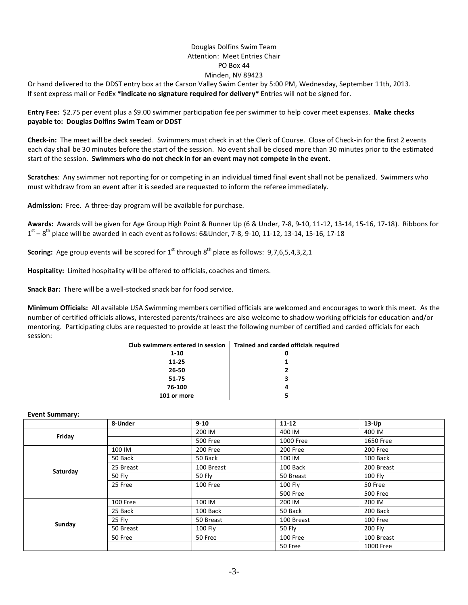# Douglas Dolfins Swim Team Attention: Meet Entries Chair PO Box 44 Minden, NV 89423

Or hand delivered to the DDST entry box at the Carson Valley Swim Center by 5:00 PM, Wednesday, September 11th, 2013. If sent express mail or FedEx **\*indicate no signature required for delivery\*** Entries will not be signed for.

**Entry Fee:** \$2.75 per event plus a \$9.00 swimmer participation fee per swimmer to help cover meet expenses. **Make checks payable to: Douglas Dolfins Swim Team or DDST**

**Check-in:** The meet will be deck seeded. Swimmers must check in at the Clerk of Course. Close of Check-in for the first 2 events each day shall be 30 minutes before the start of the session. No event shall be closed more than 30 minutes prior to the estimated start of the session. **Swimmers who do not check in for an event may not compete in the event.**

**Scratches**: Any swimmer not reporting for or competing in an individual timed final event shall not be penalized. Swimmers who must withdraw from an event after it is seeded are requested to inform the referee immediately.

**Admission:** Free. A three-day program will be available for purchase.

**Awards:** Awards will be given for Age Group High Point & Runner Up (6 & Under, 7-8, 9-10, 11-12, 13-14, 15-16, 17-18). Ribbons for  $1<sup>st</sup> - 8<sup>th</sup>$  place will be awarded in each event as follows: 6&Under, 7-8, 9-10, 11-12, 13-14, 15-16, 17-18

**Scoring:** Age group events will be scored for 1<sup>st</sup> through 8<sup>th</sup> place as follows: 9,7,6,5,4,3,2,1

**Hospitality:** Limited hospitality will be offered to officials, coaches and timers.

**Snack Bar:** There will be a well-stocked snack bar for food service.

**Minimum Officials:** All available USA Swimming members certified officials are welcomed and encourages to work this meet. As the number of certified officials allows, interested parents/trainees are also welcome to shadow working officials for education and/or mentoring. Participating clubs are requested to provide at least the following number of certified and carded officials for each session:

| Club swimmers entered in session | Trained and carded officials required |
|----------------------------------|---------------------------------------|
| $1 - 10$                         |                                       |
| 11-25                            |                                       |
| 26-50                            |                                       |
| 51-75                            |                                       |
| 76-100                           |                                       |
| 101 or more                      |                                       |

**Event Summary:**

|          | 8-Under       | $9 - 10$      | $11 - 12$       | $13-Up$         |
|----------|---------------|---------------|-----------------|-----------------|
| Friday   |               | 200 IM        | 400 IM          | 400 IM          |
|          |               | 500 Free      | 1000 Free       | 1650 Free       |
|          | 100 IM        | 200 Free      | 200 Free        | 200 Free        |
|          | 50 Back       | 50 Back       | 100 IM          | 100 Back        |
|          | 25 Breast     | 100 Breast    | 100 Back        | 200 Breast      |
| Saturday | <b>50 Fly</b> | <b>50 Fly</b> | 50 Breast       | 100 Fly         |
|          | 25 Free       | 100 Free      | <b>100 Fly</b>  | 50 Free         |
|          |               |               | <b>500 Free</b> | <b>500 Free</b> |
|          | 100 Free      | 100 IM        | 200 IM          | 200 IM          |
|          | 25 Back       | 100 Back      | 50 Back         | 200 Back        |
| Sunday   | 25 Fly        | 50 Breast     | 100 Breast      | 100 Free        |
|          | 50 Breast     | 100 Fly       | <b>50 Fly</b>   | 200 Fly         |
|          | 50 Free       | 50 Free       | 100 Free        | 100 Breast      |
|          |               |               | 50 Free         | 1000 Free       |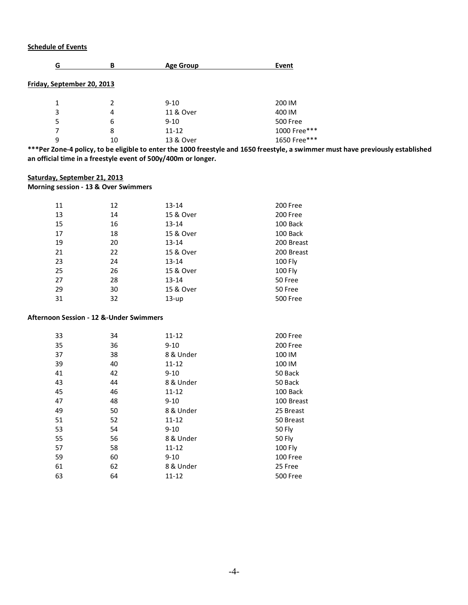## **Schedule of Events**

| G                          | в  | <b>Age Group</b> | Event           |
|----------------------------|----|------------------|-----------------|
| Friday, September 20, 2013 |    |                  |                 |
| 1                          | 2  | $9 - 10$         | 200 IM          |
| 3                          | 4  | 11 & Over        | 400 IM          |
| 5                          | 6  | $9 - 10$         | <b>500 Free</b> |
|                            | 8  | $11 - 12$        | 1000 Free***    |
| 9                          | 10 | 13 & Over        | 1650 Free***    |
|                            |    |                  |                 |

**\*\*\*Per Zone-4 policy, to be eligible to enter the 1000 freestyle and 1650 freestyle, a swimmer must have previously established an official time in a freestyle event of 500y/400m or longer.**

#### **Saturday, September 21, 2013**

**Morning session - 13 & Over Swimmers**

| 11 | 12 | $13 - 14$ | 200 Free   |
|----|----|-----------|------------|
| 13 | 14 | 15 & Over | 200 Free   |
| 15 | 16 | $13 - 14$ | 100 Back   |
| 17 | 18 | 15 & Over | 100 Back   |
| 19 | 20 | $13 - 14$ | 200 Breast |
| 21 | 22 | 15 & Over | 200 Breast |
| 23 | 24 | $13 - 14$ | 100 Fly    |
| 25 | 26 | 15 & Over | 100 Fly    |
| 27 | 28 | $13 - 14$ | 50 Free    |
| 29 | 30 | 15 & Over | 50 Free    |
| 31 | 32 | $13-up$   | 500 Free   |
|    |    |           |            |

#### **Afternoon Session - 12 &-Under Swimmers**

| 33 | 34 | $11 - 12$ | 200 Free        |
|----|----|-----------|-----------------|
| 35 | 36 | $9 - 10$  | 200 Free        |
| 37 | 38 | 8 & Under | 100 IM          |
| 39 | 40 | $11 - 12$ | 100 IM          |
| 41 | 42 | $9 - 10$  | 50 Back         |
| 43 | 44 | 8 & Under | 50 Back         |
| 45 | 46 | $11 - 12$ | 100 Back        |
| 47 | 48 | $9 - 10$  | 100 Breast      |
| 49 | 50 | 8 & Under | 25 Breast       |
| 51 | 52 | 11-12     | 50 Breast       |
| 53 | 54 | $9 - 10$  | 50 Fly          |
| 55 | 56 | 8 & Under | 50 Fly          |
| 57 | 58 | 11-12     | 100 Fly         |
| 59 | 60 | $9 - 10$  | 100 Free        |
| 61 | 62 | 8 & Under | 25 Free         |
| 63 | 64 | 11-12     | <b>500 Free</b> |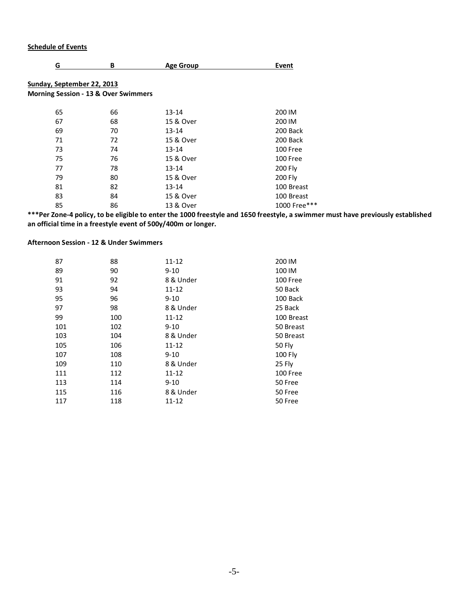## **Schedule of Events**

| G                                               | B  | <b>Age Group</b> | Event        |
|-------------------------------------------------|----|------------------|--------------|
| Sunday, September 22, 2013                      |    |                  |              |
| <b>Morning Session - 13 &amp; Over Swimmers</b> |    |                  |              |
| 65                                              | 66 | $13 - 14$        | 200 IM       |
| 67                                              | 68 | 15 & Over        | 200 IM       |
| 69                                              | 70 | $13 - 14$        | 200 Back     |
| 71                                              | 72 | 15 & Over        | 200 Back     |
| 73                                              | 74 | $13 - 14$        | 100 Free     |
| 75                                              | 76 | 15 & Over        | 100 Free     |
| 77                                              | 78 | $13 - 14$        | 200 Fly      |
| 79                                              | 80 | 15 & Over        | 200 Fly      |
| 81                                              | 82 | $13 - 14$        | 100 Breast   |
| 83                                              | 84 | 15 & Over        | 100 Breast   |
| 85                                              | 86 | 13 & Over        | 1000 Free*** |

**\*\*\*Per Zone-4 policy, to be eligible to enter the 1000 freestyle and 1650 freestyle, a swimmer must have previously established an official time in a freestyle event of 500y/400m or longer.**

## **Afternoon Session - 12 & Under Swimmers**

| 87  | 88  | $11 - 12$ | 200 IM     |
|-----|-----|-----------|------------|
| 89  | 90  | $9 - 10$  | 100 IM     |
| 91  | 92  | 8 & Under | 100 Free   |
| 93  | 94  | 11-12     | 50 Back    |
| 95  | 96  | $9 - 10$  | 100 Back   |
| 97  | 98  | 8 & Under | 25 Back    |
| 99  | 100 | $11 - 12$ | 100 Breast |
| 101 | 102 | $9 - 10$  | 50 Breast  |
| 103 | 104 | 8 & Under | 50 Breast  |
| 105 | 106 | 11-12     | 50 Fly     |
| 107 | 108 | $9 - 10$  | 100 Fly    |
| 109 | 110 | 8 & Under | 25 Fly     |
| 111 | 112 | $11 - 12$ | 100 Free   |
| 113 | 114 | $9 - 10$  | 50 Free    |
| 115 | 116 | 8 & Under | 50 Free    |
| 117 | 118 | $11 - 12$ | 50 Free    |
|     |     |           |            |